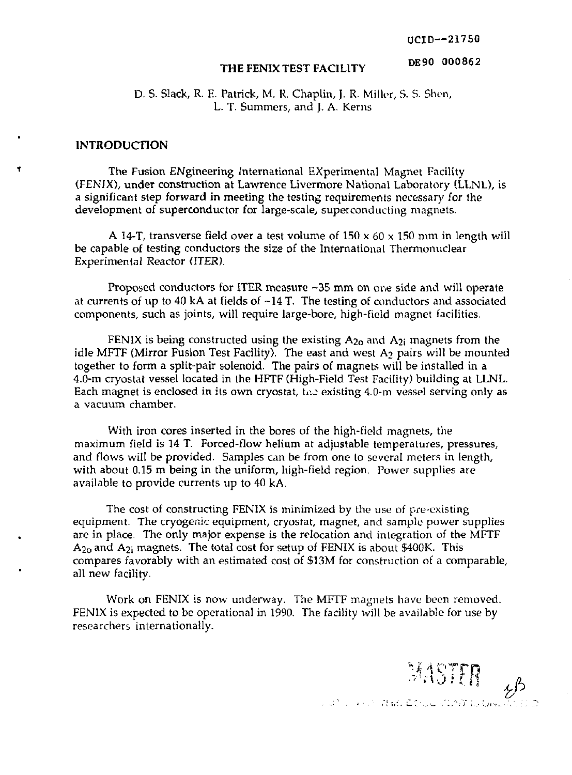OCID—21750

*: \*0'> l.i* **FR** *iP* 

#### DE90 000862

# **THE FENIX TEST FACILITY**

D. S. Slack, R. E. Patrick, M. R. Chaplin, J. R. Miller, S. S. Shen, L. T. Summers, and J. A. Kerns

#### **INTRODUCTION**

The Fusion ENgineering International EXperimental Magnet Facility (FENJX), under construction at Lawrence Livermore National Laboratory (LLNL), is a significant step forward in meeting the testing requirements necessary for the development of superconductor for large-scale, superconducting magnets.

A 14-T, transverse field over a test volume of  $150 \times 60 \times 150$  mm in length will be capable of testing conductors the size of the International Thermonuclear Experimental Reactor (ITER).

Proposed conductors for ITER measure -35 mm on one side and will operate at currents of up to 40 kA at fields of  $-14$  T. The testing of conductors and associated components, such as joints, will require large-bore, high-field magnet facilities.

FENIX is being constructed using the existing  $A_{20}$  and  $A_{2i}$  magnets from the idle MFTF (Mirror Fusion Test Facility). The east and west  $A_2$  pairs will be mounted together to form a split-pair solenoid. The pairs of magnets will be installed in a 4.0-m cryostat vessel located in the HFTF (High-Field Test Facility) building at LLNL. Each magnet is enclosed in its own cryostat, the existing  $4.0\text{-}m$  vessel serving only as a vacuum chamber.

With iron cores inserted in the bores of the high-field magnets, the maximum field is 14 T. Forced-flow helium at adjustable temperatures, pressures, and flows will be provided. Samples can be from one to several meters in length, with about 0.15 m being in the uniform, high-field region. Power supplies are available to provide currents up to 40 kA.

The cost of constructing FENIX is minimized by the use of pre-existing equipment. The cryogenic equipment, cryostat, magnet, and sample power supplies are in place. The only major expense is the relocation and integration of the MFTF  $A_{20}$  and  $A_{2i}$  magnets. The total cost for setup of FENIX is about \$400K. This compares favorably with an estimated cost of \$13M for construction of a comparable, all new facility.

Work on FENIX is now underway. The MFTF magnets have been removed. FENIX is expected to be operational in 1990. The facility will be available for use by researchers internationally.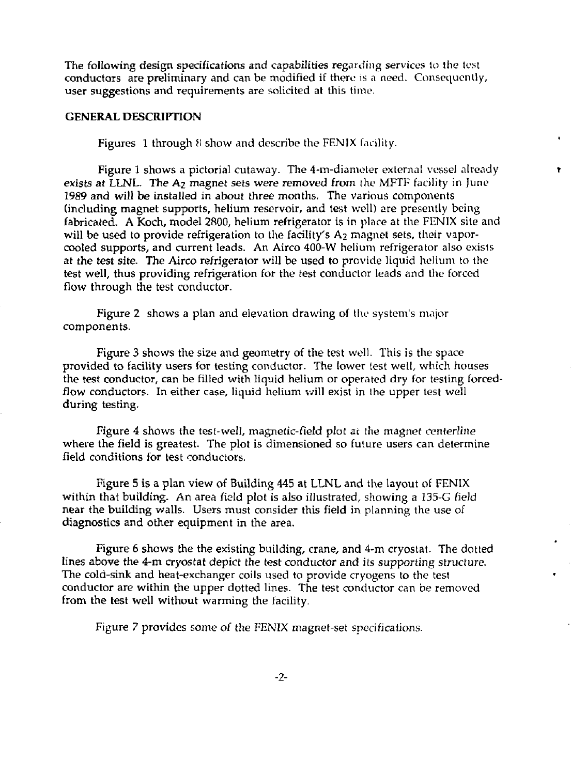The following design specifications and capabilities regarding services to the test conductors are preliminary and can be modified if there is a need. Consequently, user suggestions and requirements are solicited at this time.

## **GENERAL DESCRIPTION**

Figures 1 through *i\* show and describe the FENIX facility.

Figure 1 shows a pictorial cutaway. The 4-m-diameter external vessel already exists at LLNL. The A<sub>2</sub> magnet sets were removed from the MFTF facility in June 1989 and will be installed in about three months. The various components (including magnet supports, helium reservoir, and test well) are presently being fabricated. A Koch, model 2800, helium refrigerator is in plnce at the FENIX site and will be used to provide refrigeration to the facility's  $A_2$  magnet sets, their vaporcooled supports, and current leads. An Airco 400-W helium refrigerator also exists at the test site. The Airco refrigerator will be used to provide liquid helium to the test well, thus providing refrigeration for the test conductor leads and the forced flow through the test conductor.

Figure 2 shows a plan and elevation drawing of the system's major components.

Figure 3 shows the size and geometry of the test well. This is the space provided to facility users for testing conductor. The lower (est well, which houses the test conductor, can be filled with liquid helium or operated dry for testing forcedflow conductors. In either case, liquid helium will exist in the upper test well during testing.

Figure 4 shows the test-well, magnetic-field plot at the magnet centerline where the field is greatest. The plot is dimensioned so future users can determine field conditions for test conductors.

Figure 5 is a plan view of Building 445 at LLNL and the layout of FENIX within that building. An area field plot is also illustrated, showing a I35-G field near the building walls. Users must consider this field in planning the use of diagnostics and other equipment in the area.

Figure 6 shows the the existing building, crane, and 4-m cryostat. The dotted lines above the 4-m cryostat depict the test conductor and its supporting structure. The cold-sink and heat-exchanger coils used to provide cryogens to the test conductor are within the upper dotted lines. The test conductor can be removed from the test well without warming the facility.

Figure *7* provides some of the FENIX magnet-set specifications.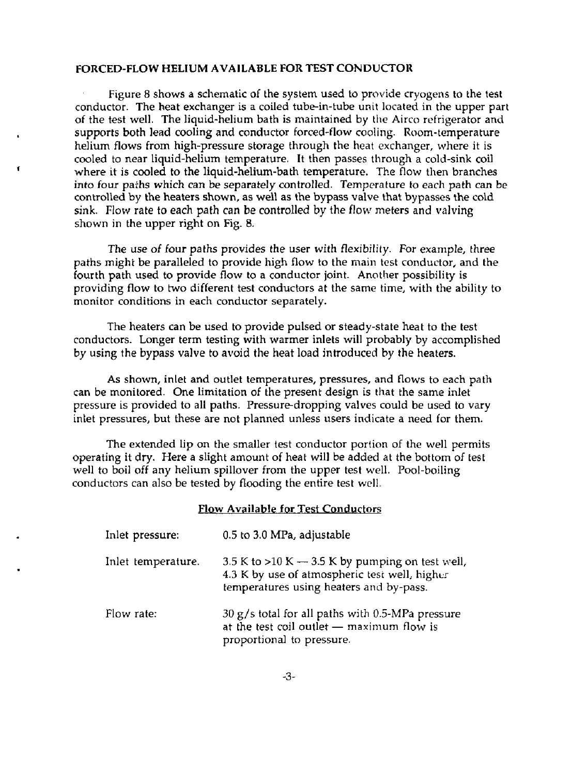#### **FORCED-FLOW HELIUM AVAILABLE FOR TEST CONDUCTOR**

Figure 8 shows a schematic of the system used to provide cryogens to the test conductor. The heat exchanger is a coiled tube-in-tube unit located in the upper part of the test well. The liquid-helium bath is maintained by the Airco refrigerator and supports both lead cooling and conductor forced-flow cooling. Room-temperature helium flows from high-pressure storage through the heat exchanger, where it is cooled to near liquid-helium temperature. It then passes through a cold-sink coil where it is cooled to the liquid-helium-bath temperature. The flow then branches into four paths which can be separately controlled. Temperature to each path can be controlled by the heaters shown, as well as the bypass valve that bypasses the cold sink. Flow rate to each path can be controlled by the flow meters and valving shown in the upper right on Fig. 8.

The use of four paths provides the user with flexibility. For example, three paths might be paralleled to provide high flow to the main test conductor, and the fourth path used to provide flow to a conductor joint. Another possibility is providing flow to two different test conductors at the same time, with the ability to monitor conditions in each conductor separately.

The heaters can be used to provide pulsed or steady-state heat to the test conductors. Longer term testing with warmer inlets will probably by accomplished by using the bypass valve to avoid the heat load introduced by the heaters.

As shown, inlet and outlet temperatures, pressures, and flows to each path can be monitored. One limitation of the present design is that the same inlet pressure is provided to all paths. Pressure-dropping valves could be used to vary inlet pressures, but these are not planned unless users indicate a need for them.

The extended lip on the smaller test conductor portion of the well permits operating it dry. Here a slight amount of heat will be added at the bottom of test well to boil off any helium spillover from the upper test well. Pool-boiling conductors can also be tested by flooding the entire test well.

#### Flow Available for Test Conductors

| Inlet pressure:    | 0.5 to 3.0 MPa, adjustable                                                                                                                    |
|--------------------|-----------------------------------------------------------------------------------------------------------------------------------------------|
| Inlet temperature. | 3.5 K to >10 K $-$ 3.5 K by pumping on test well,<br>4.3 K by use of atmospheric test well, higher<br>temperatures using heaters and by-pass. |
| Flow rate:         | 30 g/s total for all paths with 0.5-MPa pressure<br>at the test coil outlet $-$ maximum flow is<br>proportional to pressure.                  |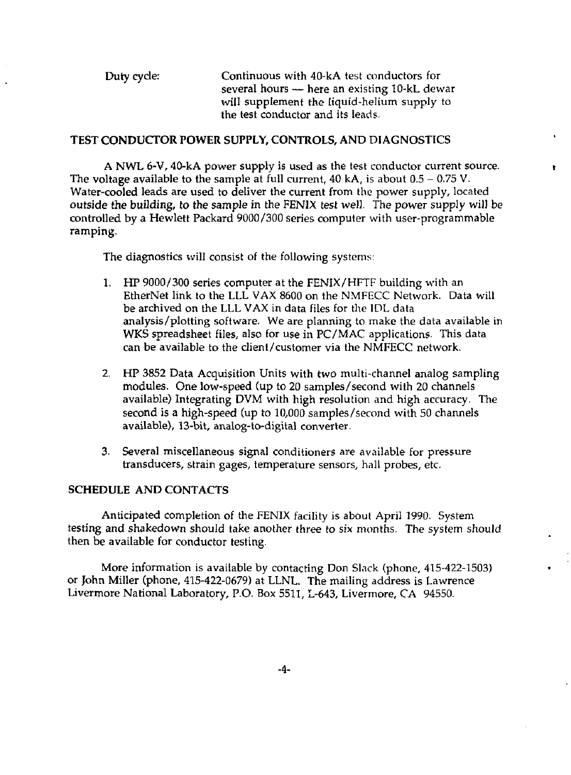Duty cycle: Continuous with 40-kA test conductors for several hours — here an existing 10-kL dewar will supplement the liquid-helium supply to the test conductor and its leads.

### **TEST CONDUCTOR POWER SUPPLY, CONTROLS,** AND **DIAGNOSTICS**

A NWL 6-V, 40-kA power supply is used as the test conductor current source. » The voltage available to the sample at full current, 40 kA, is about  $0.5 - 0.75$  V. Water-cooled leads are used to deliver the current from the power supply, located outside the building, to the sample in the FENIX test well. The power supply *will* be controlled by a Hewlett Packard 9000/300 series computer with user-programmable ramping.

The diagnostics will consist of the following systems:

- 1. HP 9000/300 series computer at the FENIX/HFTF building with an EtherNet link to the LLL VAX 8600 on the NMFECC Network. Data will be archived on the LLL VAX in data files for the IDL data analysis /plotting software. We are planning to make the data available in WKS spreadsheet files, also for use in PC/MAC applications. This data can be available to the client/customer via the NMFECC network.
- 2. HP 3852 Data Acquisition Units with two multi-channel analog sampling modules. One low-speed (up to 20 samples/second with 20 channels available) Integrating DVM with high resolution and high accuracy. The second is a high-speed (up to 10,000 samples/second with 50 channels available), 13-bit, analog-to-digital converter.
- 3. Several miscellaneous signal conditioners are available for pressure transducers, strain gages, temperature sensors, hall probes, etc.

# **SCHEDULE** AND CONTACTS

Anticipated completion of the FENIX facility is about April 1990. System testing and shakedown should take another three to *six* months. The system should then be available for conductor testing.

More information is available by contacting Don Slack (phone, 415-422-1503) or John Miller (phone, 415-422-0679) at LLNL. The mailing address is Lawrence Livermore National Laboratory, P.O. Box 5511, L-643, Livermore, CA 94550.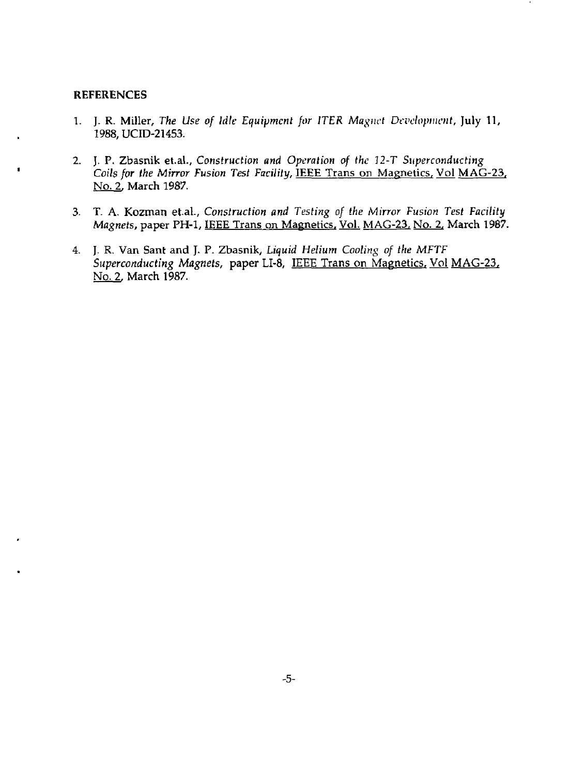#### **REFERENCES**

- 1. J. R. Miller, *The Use of Idle Equipment for ITER Magnet Development,* July 11, 1988,UCID-21453.
- 2. J. P. Zbasnik et.al.. *Construction and Operation of the 12-T Superconducting Coils for the Mirror Fusion Test Facility,* IEEE Trans on Magnetics, Vol MAG-23, No. 2, March 1987.
- 3. T. A. Kozman et.al.. *Construction and Testing of the Mirror Fusion Test Facility Magnets,* paper PH-1, IEEE Trans on Magnetics. Vol. MAG-23, No. 2, March 1987.
- 4. J. R. Van Sant and J. P. Zbasnik, *Liquid Helium Cooling of the MFTF Superconducting Magnets,* paper LI-8, IEEE Trans on Magnetics. Vol MAG-23, No. 2, March 1987.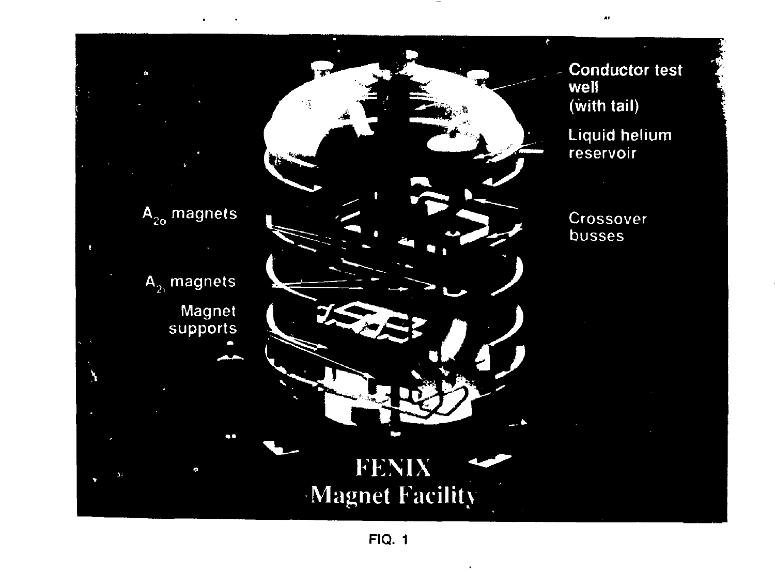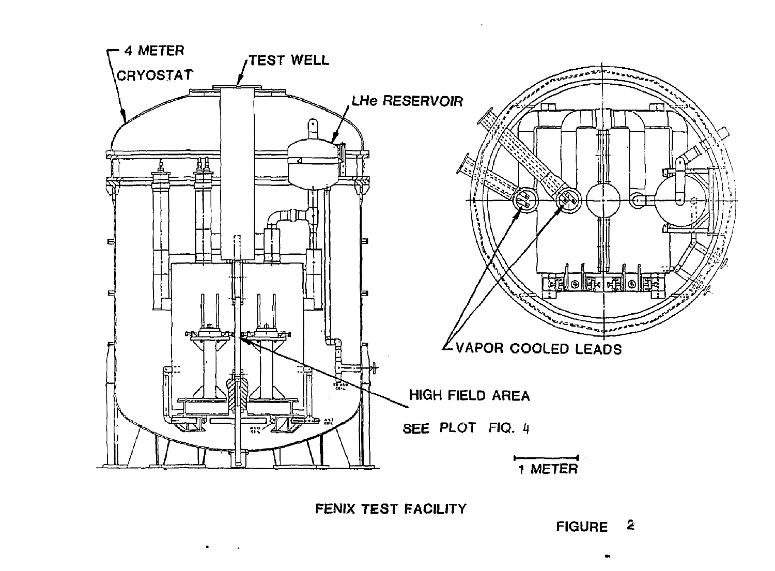

FENIX TEST FACILITY

FIGURE 2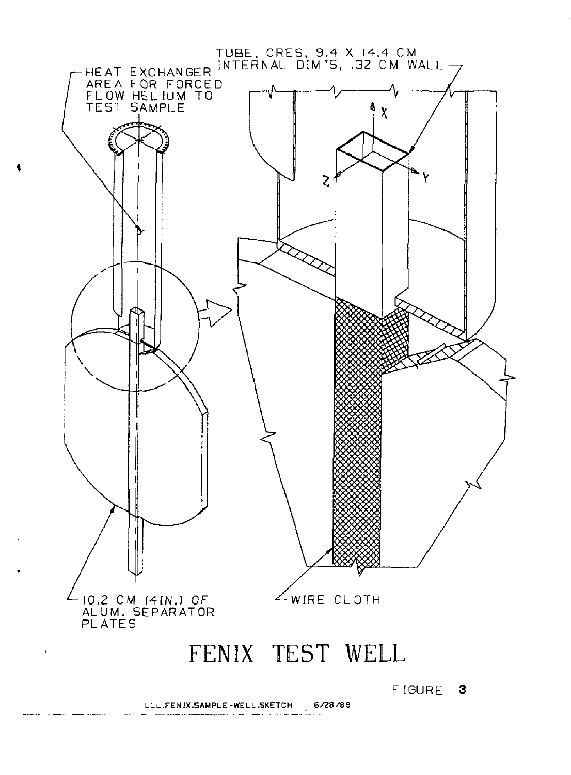

FENIX TEST WELL

FIGURE 3

LLL.FENIX.SAMPLE-WELL.SKETCH 6/28/89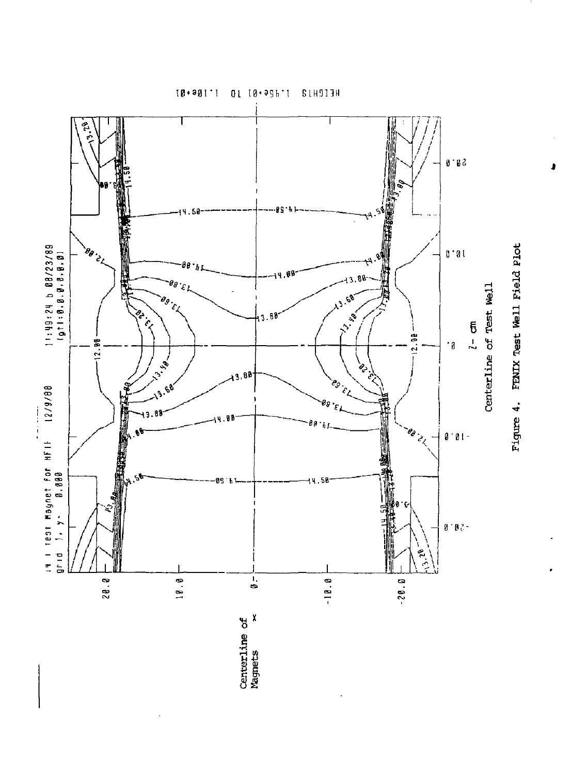اچ<br>اپي II Τ  $0.85$ **READER** ØS 4.50 海洋海 09/62/90 9 16:61:16<br>69/62/90 9 16:61:11 **BB CHATERS**  $0.01$ "标注" G۱ Centerline of Test Well  $\mathcal{C}$  $\theta_g$  $\epsilon_{\rm f}$ 13.49 **PARTICIPAL** -80 3  $\frac{1}{2}$  $12.98$  $-12.98$ ۰ą **12.15**  $\frac{1}{2}$ 3.88 eд it i rest Maynet for HFIF 12/9/88<br>grid '1, y- 0,800 é, **REGISTERED** 三皇三村  $\frac{1}{2}$ 98  $e_{\theta}$  $0.01$  $rac{1}{2}$ ØS 4.50  $\mathfrak{g} \cdot \mathfrak{g}$  .  $\begin{pmatrix} 1 \\ 2 \\ 3 \end{pmatrix}$  $28.8$  $10.8$  $\overline{0}$   $\overline{0}$  $-10.0$  $-20.0$ **<M X o**  Centerline<br>Magnets

10\*301 M 10\*396 M S1H313H

**s a.**  *i*  a)

-rH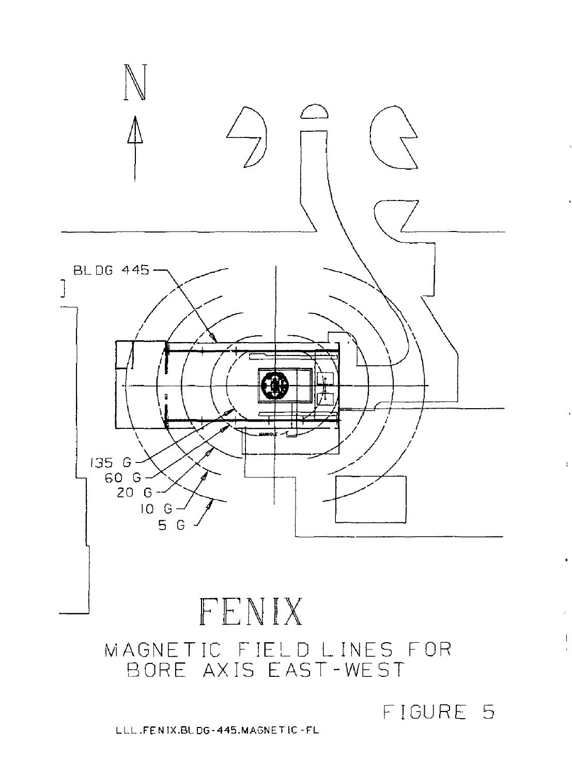

LLL.FENIX.BLDG-445.MAGNETIC -FL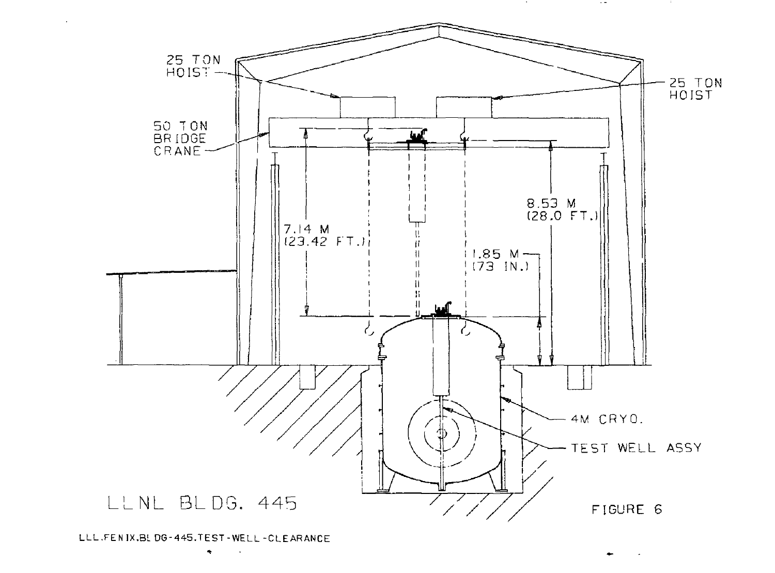

LLL.FENIX.BL DG-445.TEST-WELL-CLE ARANCE

 $\mathcal{L}_{\mathcal{A}}$ 

 $\sim$   $-$ 

**CONTRACTOR**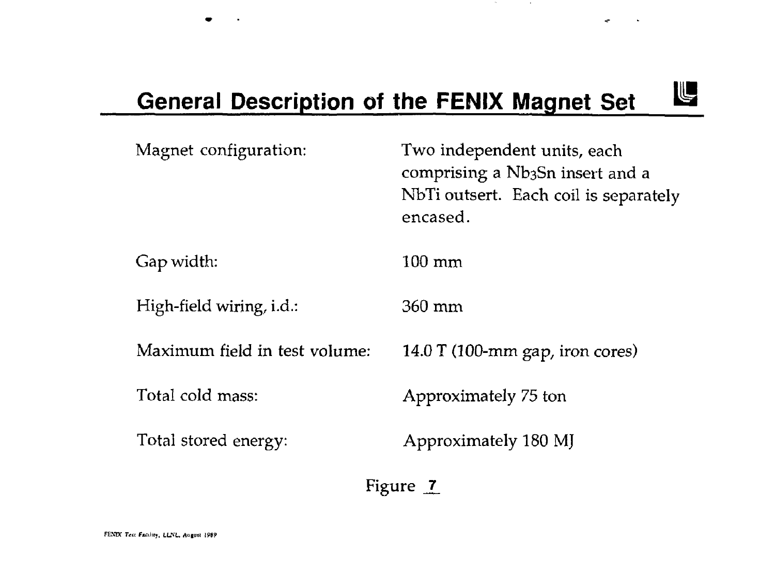# **General Description of the FENIX Magnet Set**

**Contract** 

**Contract** 

 $\tilde{\phantom{a}}$ 

IL

| Magnet configuration:         | Two independent units, each<br>comprising a Nb3Sn insert and a<br>NbTi outsert. Each coil is separately<br>encased. |
|-------------------------------|---------------------------------------------------------------------------------------------------------------------|
| Gap width:                    | 100 mm                                                                                                              |
| High-field wiring, i.d.:      | 360 mm                                                                                                              |
| Maximum field in test volume: | 14.0 T (100-mm gap, iron cores)                                                                                     |
| Total cold mass:              | Approximately 75 ton                                                                                                |
| Total stored energy:          | Approximately 180 MJ                                                                                                |
|                               |                                                                                                                     |

Figure  $<sup>7</sup>$ </sup>